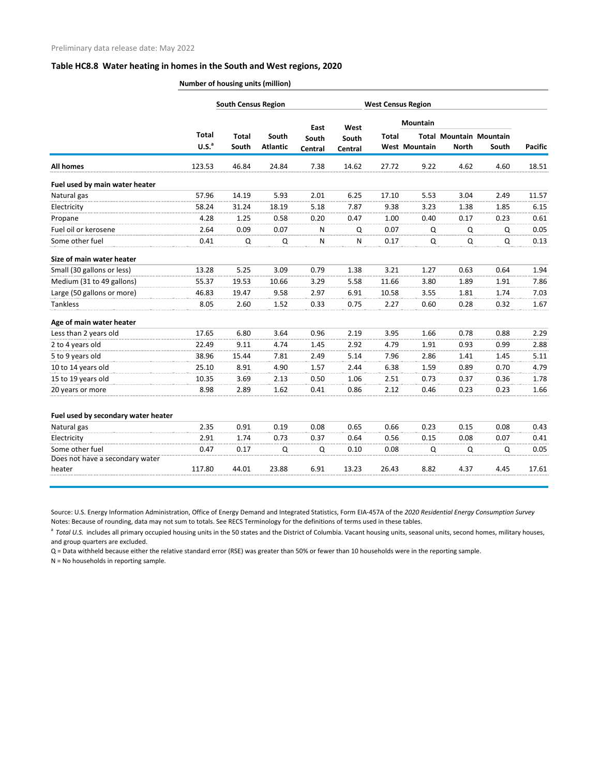## **Table HC8.8 Water heating in homes in the South and West regions, 2020**

**Number of housing units (million)**

|                                   |                       |                          |                          | <b>West Census Region</b> |       |                 |                                                        |       |                                        |
|-----------------------------------|-----------------------|--------------------------|--------------------------|---------------------------|-------|-----------------|--------------------------------------------------------|-------|----------------------------------------|
| <b>Total</b><br>U.S. <sup>a</sup> | <b>Total</b><br>South | South<br><b>Atlantic</b> | East<br>South<br>Central | West<br>South<br>Central  |       | <b>Mountain</b> |                                                        |       | <b>Pacific</b>                         |
|                                   |                       |                          |                          |                           | Total |                 | <b>North</b>                                           | South |                                        |
| 123.53                            | 46.84                 | 24.84                    | 7.38                     | 14.62                     | 27.72 |                 | 4.62                                                   | 4.60  | 18.51                                  |
|                                   |                       |                          |                          |                           |       |                 |                                                        |       |                                        |
| 57.96                             | 14.19                 | 5.93                     | 2.01                     | 6.25                      | 17.10 | 5.53            | 3.04                                                   | 2.49  | 11.57                                  |
| 58.24                             | 31.24                 | 18.19                    | 5.18                     | 7.87                      | 9.38  | 3.23            | 1.38                                                   | 1.85  | 6.15                                   |
| 4.28                              | 1.25                  | 0.58                     | 0.20                     | 0.47                      | 1.00  | 0.40            | 0.17                                                   | 0.23  | 0.61                                   |
| 2.64                              | 0.09                  | 0.07                     | N                        | Q                         | 0.07  |                 |                                                        | Q     | 0.05                                   |
| 0.41                              | Q                     | Q                        | $\mathsf{N}$             | N                         | 0.17  |                 |                                                        | Q     | 0.13                                   |
|                                   |                       |                          |                          |                           |       |                 |                                                        |       |                                        |
| 13.28                             | 5.25                  | 3.09                     | 0.79                     | 1.38                      | 3.21  | 1.27            | 0.63                                                   | 0.64  | 1.94                                   |
| 55.37                             | 19.53                 | 10.66                    | 3.29                     | 5.58                      | 11.66 | 3.80            | 1.89                                                   | 1.91  | 7.86                                   |
| 46.83                             | 19.47                 | 9.58                     | 2.97                     | 6.91                      | 10.58 | 3.55            | 1.81                                                   | 1.74  | 7.03                                   |
| 8.05                              | 2.60                  | 1.52                     | 0.33                     | 0.75                      | 2.27  | 0.60            | 0.28                                                   | 0.32  | 1.67                                   |
|                                   |                       |                          |                          |                           |       |                 |                                                        |       |                                        |
| 17.65                             | 6.80                  | 3.64                     | 0.96                     | 2.19                      | 3.95  |                 | 0.78                                                   | 0.88  | 2.29                                   |
| 22.49                             | 9.11                  | 4.74                     | 1.45                     | 2.92                      | 4.79  | 1.91            | 0.93                                                   | 0.99  | 2.88                                   |
| 38.96                             | 15.44                 | 7.81                     | 2.49                     | 5.14                      | 7.96  | 2.86            | 1.41                                                   | 1.45  | 5.11                                   |
| 25.10                             | 8.91                  | 4.90                     | 1.57                     | 2.44                      | 6.38  | 1.59            | 0.89                                                   | 0.70  | 4.79                                   |
| 10.35                             | 3.69                  | 2.13                     | 0.50                     | 1.06                      | 2.51  | 0.73            | 0.37                                                   | 0.36  | 1.78                                   |
| 8.98                              | 2.89                  | 1.62                     | 0.41                     | 0.86                      | 2.12  |                 | 0.23                                                   | 0.23  | 1.66                                   |
|                                   |                       |                          |                          |                           |       |                 |                                                        |       |                                        |
| 2.35                              | 0.91                  | 0.19                     | 0.08                     | 0.65                      | 0.66  | 0.23            | 0.15                                                   | 0.08  | 0.43                                   |
| 2.91                              | 1.74                  | 0.73                     | 0.37                     | 0.64                      | 0.56  | 0.15            | 0.08                                                   | 0.07  | 0.41                                   |
| 0.47                              | 0.17                  | Q                        | Q                        | 0.10                      | 0.08  |                 |                                                        | Q     | 0.05                                   |
| 117.80                            | 44.01                 | 23.88                    |                          | 13.23                     | 26.43 | 8.82            | 4.37                                                   | 4.45  | 17.61                                  |
|                                   |                       |                          |                          | 6.91                      |       |                 | <b>West Mountain</b><br>9.22<br>Q<br>1.66<br>0.46<br>Q | Q     | Total Mountain Mountain<br>Q<br>Q<br>Q |

Source: U.S. Energy Information Administration, Office of Energy Demand and Integrated Statistics, Form EIA-457A of the *2020 Residential Energy Consumption Survey* Notes: Because of rounding, data may not sum to totals. See RECS Terminology for the definitions of terms used in these tables.

<sup>a</sup> Total U.S. includes all primary occupied housing units in the 50 states and the District of Columbia. Vacant housing units, seasonal units, second homes, military houses, and group quarters are excluded.

Q = Data withheld because either the relative standard error (RSE) was greater than 50% or fewer than 10 households were in the reporting sample.

N = No households in reporting sample.